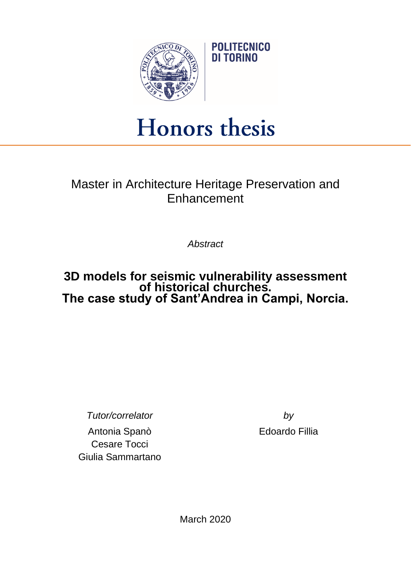

## Honors thesis

## Master in Architecture Heritage Preservation and **Enhancement**

*Abstract*

## **3D models for seismic vulnerability assessment of historical churches. The case study of Sant'Andrea in Campi, Norcia.**

*Tutor/correlator by*

Antonia Spanò Edoardo Fillia Cesare Tocci Giulia Sammartano

March 2020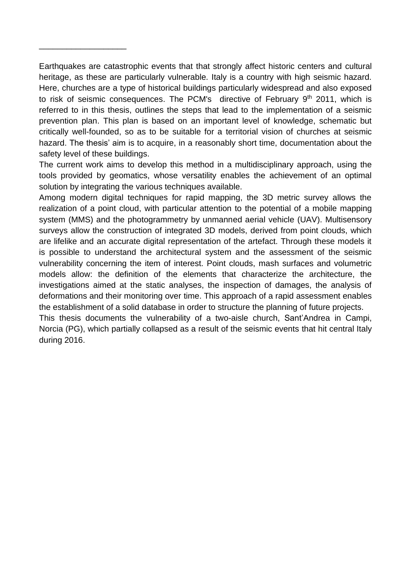Earthquakes are catastrophic events that that strongly affect historic centers and cultural heritage, as these are particularly vulnerable. Italy is a country with high seismic hazard. Here, churches are a type of historical buildings particularly widespread and also exposed to risk of seismic consequences. The PCM's directive of February 9<sup>th</sup> 2011, which is referred to in this thesis, outlines the steps that lead to the implementation of a seismic prevention plan. This plan is based on an important level of knowledge, schematic but critically well-founded, so as to be suitable for a territorial vision of churches at seismic hazard. The thesis' aim is to acquire, in a reasonably short time, documentation about the safety level of these buildings.

\_\_\_\_\_\_\_\_\_\_\_\_\_\_\_\_\_\_\_

The current work aims to develop this method in a multidisciplinary approach, using the tools provided by geomatics, whose versatility enables the achievement of an optimal solution by integrating the various techniques available.

Among modern digital techniques for rapid mapping, the 3D metric survey allows the realization of a point cloud, with particular attention to the potential of a mobile mapping system (MMS) and the photogrammetry by unmanned aerial vehicle (UAV). Multisensory surveys allow the construction of integrated 3D models, derived from point clouds, which are lifelike and an accurate digital representation of the artefact. Through these models it is possible to understand the architectural system and the assessment of the seismic vulnerability concerning the item of interest. Point clouds, mash surfaces and volumetric models allow: the definition of the elements that characterize the architecture, the investigations aimed at the static analyses, the inspection of damages, the analysis of deformations and their monitoring over time. This approach of a rapid assessment enables the establishment of a solid database in order to structure the planning of future projects.

This thesis documents the vulnerability of a two-aisle church, Sant'Andrea in Campi, Norcia (PG), which partially collapsed as a result of the seismic events that hit central Italy during 2016.